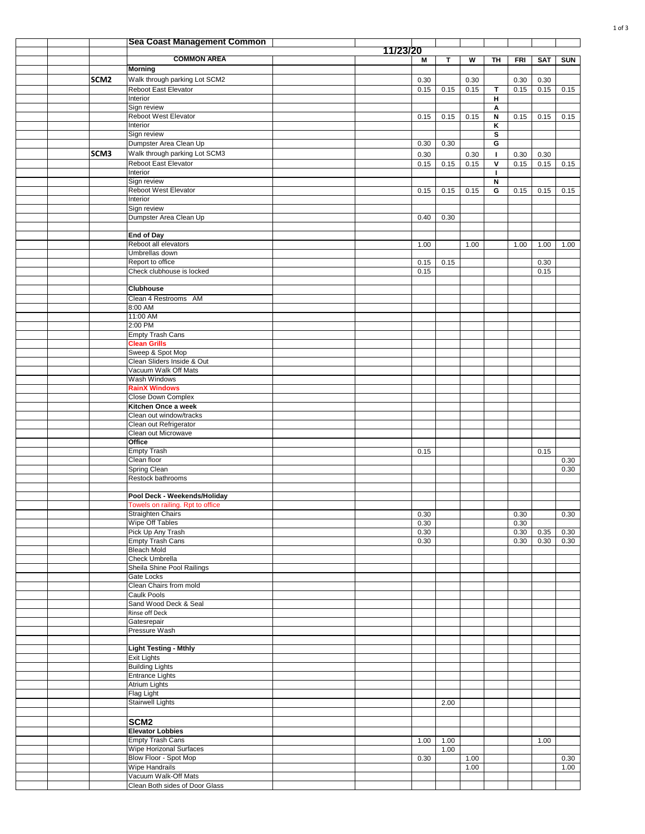|  |                  | <b>Sea Coast Management Common</b>                               |          |              |      |              |                               |              |              |              |
|--|------------------|------------------------------------------------------------------|----------|--------------|------|--------------|-------------------------------|--------------|--------------|--------------|
|  |                  | <b>COMMON AREA</b>                                               | 11/23/20 | Μ            | T.   | W            | TH                            | <b>FRI</b>   | <b>SAT</b>   | <b>SUN</b>   |
|  |                  | <b>Morning</b>                                                   |          |              |      |              |                               |              |              |              |
|  | SCM <sub>2</sub> | Walk through parking Lot SCM2                                    |          | 0.30         |      | 0.30         |                               | 0.30         | 0.30         |              |
|  |                  | Reboot East Elevator                                             |          | 0.15         | 0.15 | 0.15         | $\mathbf T$                   | 0.15         | 0.15         | 0.15         |
|  |                  | Interior                                                         |          |              |      |              | н                             |              |              |              |
|  |                  | Sign review<br>Reboot West Elevator                              |          | 0.15         | 0.15 | 0.15         | Α<br>N                        | 0.15         | 0.15         | 0.15         |
|  |                  | Interior                                                         |          |              |      |              | κ                             |              |              |              |
|  |                  | Sign review                                                      |          |              |      |              | s                             |              |              |              |
|  |                  | Dumpster Area Clean Up                                           |          | 0.30         | 0.30 |              | G                             |              |              |              |
|  | SCM3             | Walk through parking Lot SCM3<br>Reboot East Elevator            |          | 0.30<br>0.15 | 0.15 | 0.30<br>0.15 | J.<br>$\overline{\mathsf{v}}$ | 0.30<br>0.15 | 0.30<br>0.15 | 0.15         |
|  |                  | Interior                                                         |          |              |      |              | п                             |              |              |              |
|  |                  | Sign review                                                      |          |              |      |              | N                             |              |              |              |
|  |                  | Reboot West Elevator                                             |          | 0.15         | 0.15 | 0.15         | G                             | 0.15         | 0.15         | 0.15         |
|  |                  | Interior<br>Sign review                                          |          |              |      |              |                               |              |              |              |
|  |                  | Dumpster Area Clean Up                                           |          | 0.40         | 0.30 |              |                               |              |              |              |
|  |                  |                                                                  |          |              |      |              |                               |              |              |              |
|  |                  | <b>End of Day</b><br>Reboot all elevators                        |          |              |      |              |                               |              |              |              |
|  |                  | Umbrellas down                                                   |          | 1.00         |      | 1.00         |                               | 1.00         | 1.00         | 1.00         |
|  |                  | Report to office                                                 |          | 0.15         | 0.15 |              |                               |              | 0.30         |              |
|  |                  | Check clubhouse is locked                                        |          | 0.15         |      |              |                               |              | 0.15         |              |
|  |                  | <b>Clubhouse</b>                                                 |          |              |      |              |                               |              |              |              |
|  |                  | Clean 4 Restrooms AM                                             |          |              |      |              |                               |              |              |              |
|  |                  | 8:00 AM                                                          |          |              |      |              |                               |              |              |              |
|  |                  | 11:00 AM                                                         |          |              |      |              |                               |              |              |              |
|  |                  | 2:00 PM<br><b>Empty Trash Cans</b>                               |          |              |      |              |                               |              |              |              |
|  |                  | <b>Clean Grills</b>                                              |          |              |      |              |                               |              |              |              |
|  |                  | Sweep & Spot Mop                                                 |          |              |      |              |                               |              |              |              |
|  |                  | Clean Sliders Inside & Out                                       |          |              |      |              |                               |              |              |              |
|  |                  | Vacuum Walk Off Mats<br>Wash Windows                             |          |              |      |              |                               |              |              |              |
|  |                  | <b>RainX Windows</b>                                             |          |              |      |              |                               |              |              |              |
|  |                  | Close Down Complex                                               |          |              |      |              |                               |              |              |              |
|  |                  | Kitchen Once a week                                              |          |              |      |              |                               |              |              |              |
|  |                  | Clean out window/tracks<br>Clean out Refrigerator                |          |              |      |              |                               |              |              |              |
|  |                  | Clean out Microwave                                              |          |              |      |              |                               |              |              |              |
|  |                  | Office                                                           |          |              |      |              |                               |              |              |              |
|  |                  | Empty Trash<br>Clean floor                                       |          | 0.15         |      |              |                               |              | 0.15         | 0.30         |
|  |                  | <b>Spring Clean</b>                                              |          |              |      |              |                               |              |              | 0.30         |
|  |                  | Restock bathrooms                                                |          |              |      |              |                               |              |              |              |
|  |                  |                                                                  |          |              |      |              |                               |              |              |              |
|  |                  | Pool Deck - Weekends/Holiday<br>Towels on railing. Rpt to office |          |              |      |              |                               |              |              |              |
|  |                  | Straighten Chairs                                                |          | 0.30         |      |              |                               | 0.30         |              | 0.30         |
|  |                  | <b>Wipe Off Tables</b>                                           |          | 0.30         |      |              |                               | 0.30         |              |              |
|  |                  | Pick Up Any Trash                                                |          | 0.30         |      |              |                               | 0.30         | 0.35         | 0.30         |
|  |                  | <b>Empty Trash Cans</b><br><b>Bleach Mold</b>                    |          | 0.30         |      |              |                               | 0.30         | 0.30         | 0.30         |
|  |                  | Check Umbrella                                                   |          |              |      |              |                               |              |              |              |
|  |                  | Sheila Shine Pool Railings                                       |          |              |      |              |                               |              |              |              |
|  |                  | Gate Locks<br>Clean Chairs from mold                             |          |              |      |              |                               |              |              |              |
|  |                  | <b>Caulk Pools</b>                                               |          |              |      |              |                               |              |              |              |
|  |                  | Sand Wood Deck & Seal                                            |          |              |      |              |                               |              |              |              |
|  |                  | Rinse off Deck<br>Gatesrepair                                    |          |              |      |              |                               |              |              |              |
|  |                  | Pressure Wash                                                    |          |              |      |              |                               |              |              |              |
|  |                  |                                                                  |          |              |      |              |                               |              |              |              |
|  |                  | <b>Light Testing - Mthly</b>                                     |          |              |      |              |                               |              |              |              |
|  |                  | <b>Exit Lights</b><br><b>Building Lights</b>                     |          |              |      |              |                               |              |              |              |
|  |                  | <b>Entrance Lights</b>                                           |          |              |      |              |                               |              |              |              |
|  |                  | <b>Atrium Lights</b>                                             |          |              |      |              |                               |              |              |              |
|  |                  | Flag Light                                                       |          |              |      |              |                               |              |              |              |
|  |                  | <b>Stairwell Lights</b>                                          |          |              | 2.00 |              |                               |              |              |              |
|  |                  | SCM <sub>2</sub>                                                 |          |              |      |              |                               |              |              |              |
|  |                  | <b>Elevator Lobbies</b>                                          |          |              |      |              |                               |              |              |              |
|  |                  | <b>Empty Trash Cans</b>                                          |          | 1.00         | 1.00 |              |                               |              | 1.00         |              |
|  |                  | Wipe Horizonal Surfaces                                          |          |              | 1.00 |              |                               |              |              |              |
|  |                  | Blow Floor - Spot Mop<br><b>Wipe Handrails</b>                   |          | 0.30         |      | 1.00<br>1.00 |                               |              |              | 0.30<br>1.00 |
|  |                  | Vacuum Walk-Off Mats                                             |          |              |      |              |                               |              |              |              |
|  |                  | Clean Both sides of Door Glass                                   |          |              |      |              |                               |              |              |              |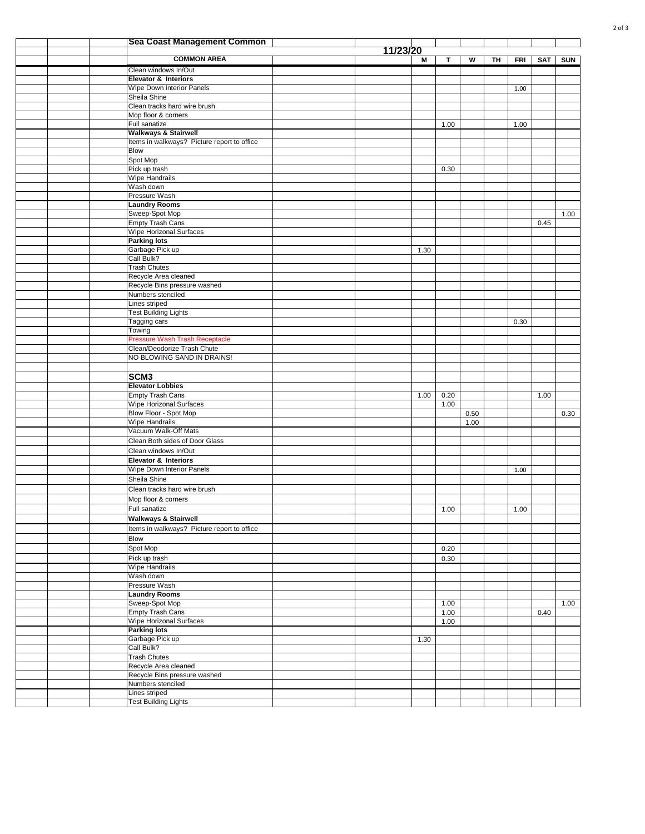|  | <b>Sea Coast Management Common</b>                        |          |      |              |      |    |            |            |            |
|--|-----------------------------------------------------------|----------|------|--------------|------|----|------------|------------|------------|
|  | <b>COMMON AREA</b>                                        | 11/23/20 |      |              |      |    |            |            |            |
|  |                                                           |          | М    | T            | w    | TH | <b>FRI</b> | <b>SAT</b> | <b>SUN</b> |
|  | Clean windows In/Out<br>Elevator & Interiors              |          |      |              |      |    |            |            |            |
|  | Wipe Down Interior Panels                                 |          |      |              |      |    | 1.00       |            |            |
|  | Sheila Shine                                              |          |      |              |      |    |            |            |            |
|  | Clean tracks hard wire brush                              |          |      |              |      |    |            |            |            |
|  | Mop floor & corners                                       |          |      |              |      |    |            |            |            |
|  | Full sanatize<br><b>Walkways &amp; Stairwell</b>          |          |      | 1.00         |      |    | 1.00       |            |            |
|  | Items in walkways? Picture report to office               |          |      |              |      |    |            |            |            |
|  | <b>Blow</b>                                               |          |      |              |      |    |            |            |            |
|  | Spot Mop                                                  |          |      |              |      |    |            |            |            |
|  | Pick up trash                                             |          |      | 0.30         |      |    |            |            |            |
|  | Wipe Handrails<br>Wash down                               |          |      |              |      |    |            |            |            |
|  | Pressure Wash                                             |          |      |              |      |    |            |            |            |
|  | <b>Laundry Rooms</b>                                      |          |      |              |      |    |            |            |            |
|  | Sweep-Spot Mop                                            |          |      |              |      |    |            |            | 1.00       |
|  | <b>Empty Trash Cans</b>                                   |          |      |              |      |    |            | 0.45       |            |
|  | Wipe Horizonal Surfaces                                   |          |      |              |      |    |            |            |            |
|  | <b>Parking lots</b><br>Garbage Pick up                    |          | 1.30 |              |      |    |            |            |            |
|  | Call Bulk?                                                |          |      |              |      |    |            |            |            |
|  | <b>Trash Chutes</b>                                       |          |      |              |      |    |            |            |            |
|  | Recycle Area cleaned                                      |          |      |              |      |    |            |            |            |
|  | Recycle Bins pressure washed                              |          |      |              |      |    |            |            |            |
|  | Numbers stenciled<br>Lines striped                        |          |      |              |      |    |            |            |            |
|  | <b>Test Building Lights</b>                               |          |      |              |      |    |            |            |            |
|  | Tagging cars                                              |          |      |              |      |    | 0.30       |            |            |
|  | Towing                                                    |          |      |              |      |    |            |            |            |
|  | <b>Pressure Wash Trash Receptacle</b>                     |          |      |              |      |    |            |            |            |
|  | Clean/Deodorize Trash Chute                               |          |      |              |      |    |            |            |            |
|  | NO BLOWING SAND IN DRAINS!                                |          |      |              |      |    |            |            |            |
|  | SCM <sub>3</sub>                                          |          |      |              |      |    |            |            |            |
|  | <b>Elevator Lobbies</b>                                   |          |      |              |      |    |            |            |            |
|  | <b>Empty Trash Cans</b>                                   |          | 1.00 | 0.20         |      |    |            | 1.00       |            |
|  | Wipe Horizonal Surfaces                                   |          |      | 1.00         |      |    |            |            |            |
|  | Blow Floor - Spot Mop                                     |          |      |              | 0.50 |    |            |            | 0.30       |
|  | <b>Wipe Handrails</b>                                     |          |      |              | 1.00 |    |            |            |            |
|  | Vacuum Walk-Off Mats<br>Clean Both sides of Door Glass    |          |      |              |      |    |            |            |            |
|  | Clean windows In/Out                                      |          |      |              |      |    |            |            |            |
|  | <b>Elevator &amp; Interiors</b>                           |          |      |              |      |    |            |            |            |
|  | Wipe Down Interior Panels                                 |          |      |              |      |    | 1.00       |            |            |
|  | Sheila Shine                                              |          |      |              |      |    |            |            |            |
|  | Clean tracks hard wire brush                              |          |      |              |      |    |            |            |            |
|  | Mop floor & corners                                       |          |      |              |      |    |            |            |            |
|  | Full sanatize                                             |          |      | 1.00         |      |    | 1.00       |            |            |
|  | <b>Walkways &amp; Stairwell</b>                           |          |      |              |      |    |            |            |            |
|  | Items in walkways? Picture report to office               |          |      |              |      |    |            |            |            |
|  | Blow                                                      |          |      |              |      |    |            |            |            |
|  | Spot Mop<br>Pick up trash                                 |          |      | 0.20<br>0.30 |      |    |            |            |            |
|  | <b>Wipe Handrails</b>                                     |          |      |              |      |    |            |            |            |
|  | Wash down                                                 |          |      |              |      |    |            |            |            |
|  | Pressure Wash                                             |          |      |              |      |    |            |            |            |
|  | <b>Laundry Rooms</b>                                      |          |      |              |      |    |            |            |            |
|  | Sweep-Spot Mop                                            |          |      | 1.00         |      |    |            |            | 1.00       |
|  | <b>Empty Trash Cans</b><br><b>Wipe Horizonal Surfaces</b> |          |      | 1.00<br>1.00 |      |    |            | 0.40       |            |
|  | <b>Parking lots</b>                                       |          |      |              |      |    |            |            |            |
|  | Garbage Pick up                                           |          | 1.30 |              |      |    |            |            |            |
|  | Call Bulk?                                                |          |      |              |      |    |            |            |            |
|  | <b>Trash Chutes</b>                                       |          |      |              |      |    |            |            |            |
|  | Recycle Area cleaned<br>Recycle Bins pressure washed      |          |      |              |      |    |            |            |            |
|  | Numbers stenciled                                         |          |      |              |      |    |            |            |            |
|  | Lines striped                                             |          |      |              |      |    |            |            |            |
|  | <b>Test Building Lights</b>                               |          |      |              |      |    |            |            |            |
|  |                                                           |          |      |              |      |    |            |            |            |